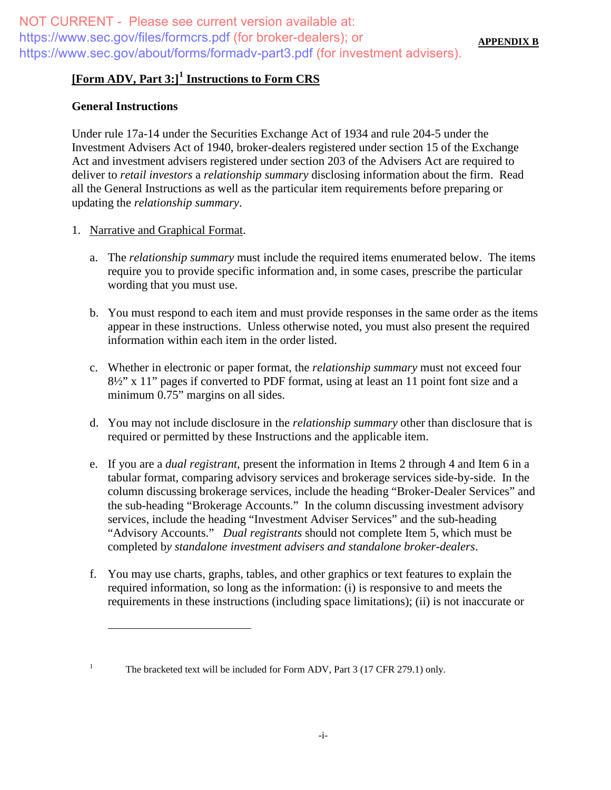# **[Form ADV, Part 3:][1](#page-0-0) Instructions to Form CRS**

### **General Instructions**

Under rule 17a-14 under the Securities Exchange Act of 1934 and rule 204-5 under the Investment Advisers Act of 1940, broker-dealers registered under section 15 of the Exchange Act and investment advisers registered under section 203 of the Advisers Act are required to deliver to *retail investors* a *relationship summary* disclosing information about the firm. Read all the General Instructions as well as the particular item requirements before preparing or updating the *relationship summary*.

- 1. Narrative and Graphical Format.
	- a. The *relationship summary* must include the required items enumerated below. The items require you to provide specific information and, in some cases, prescribe the particular wording that you must use.
	- b. You must respond to each item and must provide responses in the same order as the items appear in these instructions. Unless otherwise noted, you must also present the required information within each item in the order listed.
	- c. Whether in electronic or paper format, the *relationship summary* must not exceed four 8½" x 11" pages if converted to PDF format, using at least an 11 point font size and a minimum 0.75" margins on all sides.
	- d. You may not include disclosure in the *relationship summary* other than disclosure that is required or permitted by these Instructions and the applicable item.
	- e. If you are a *dual registrant*, present the information in Items 2 through 4 and Item 6 in a tabular format, comparing advisory services and brokerage services side-by-side. In the column discussing brokerage services, include the heading "Broker-Dealer Services" and the sub-heading "Brokerage Accounts." In the column discussing investment advisory services, include the heading "Investment Adviser Services" and the sub-heading "Advisory Accounts." *Dual registrants* should not complete Item 5, which must be completed b*y standalone investment advisers and standalone broker-dealers*.
	- f. You may use charts, graphs, tables, and other graphics or text features to explain the required information, so long as the information: (i) is responsive to and meets the requirements in these instructions (including space limitations); (ii) is not inaccurate or

<span id="page-0-0"></span><sup>&</sup>lt;sup>1</sup> The bracketed text will be included for Form ADV, Part 3 (17 CFR 279.1) only.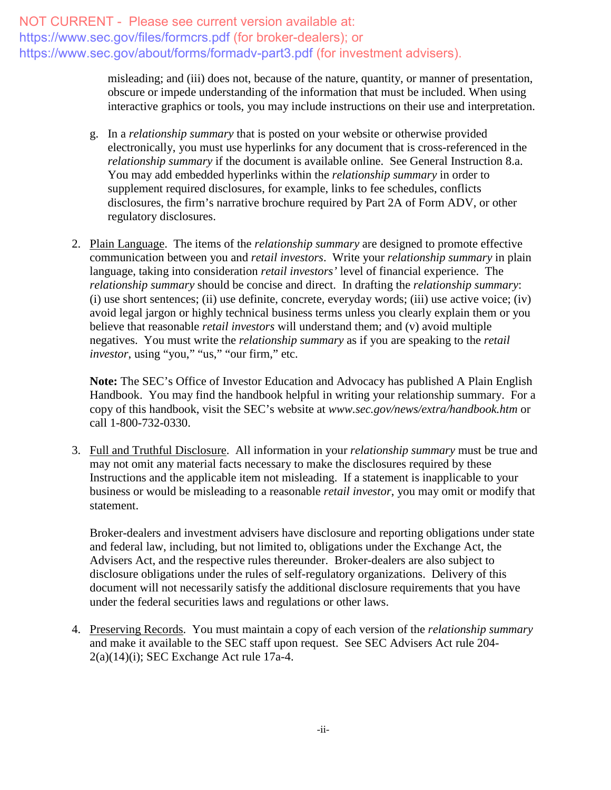> misleading; and (iii) does not, because of the nature, quantity, or manner of presentation, obscure or impede understanding of the information that must be included. When using interactive graphics or tools, you may include instructions on their use and interpretation.

- g. In a *relationship summary* that is posted on your website or otherwise provided electronically, you must use hyperlinks for any document that is cross-referenced in the *relationship summary* if the document is available online. See General Instruction 8.a. You may add embedded hyperlinks within the *relationship summary* in order to supplement required disclosures, for example, links to fee schedules, conflicts disclosures, the firm's narrative brochure required by Part 2A of Form ADV, or other regulatory disclosures.
- 2. Plain Language. The items of the *relationship summary* are designed to promote effective communication between you and *retail investors*. Write your *relationship summary* in plain language, taking into consideration *retail investors'* level of financial experience. The *relationship summary* should be concise and direct. In drafting the *relationship summary*: (i) use short sentences; (ii) use definite, concrete, everyday words; (iii) use active voice; (iv) avoid legal jargon or highly technical business terms unless you clearly explain them or you believe that reasonable *retail investors* will understand them; and (v) avoid multiple negatives. You must write the *relationship summary* as if you are speaking to the *retail investor*, using "you," "us," "our firm," etc.

**Note:** The SEC's Office of Investor Education and Advocacy has published A Plain English Handbook. You may find the handbook helpful in writing your relationship summary. For a copy of this handbook, visit the SEC's website at *www.sec.gov/news/extra/handbook.htm* or call 1-800-732-0330.

3. Full and Truthful Disclosure. All information in your *relationship summary* must be true and may not omit any material facts necessary to make the disclosures required by these Instructions and the applicable item not misleading. If a statement is inapplicable to your business or would be misleading to a reasonable *retail investor*, you may omit or modify that statement.

Broker-dealers and investment advisers have disclosure and reporting obligations under state and federal law, including, but not limited to, obligations under the Exchange Act, the Advisers Act, and the respective rules thereunder. Broker-dealers are also subject to disclosure obligations under the rules of self-regulatory organizations. Delivery of this document will not necessarily satisfy the additional disclosure requirements that you have under the federal securities laws and regulations or other laws.

4. Preserving Records. You must maintain a copy of each version of the *relationship summary* and make it available to the SEC staff upon request. See SEC Advisers Act rule 204-  $2(a)(14)(i)$ ; SEC Exchange Act rule 17a-4.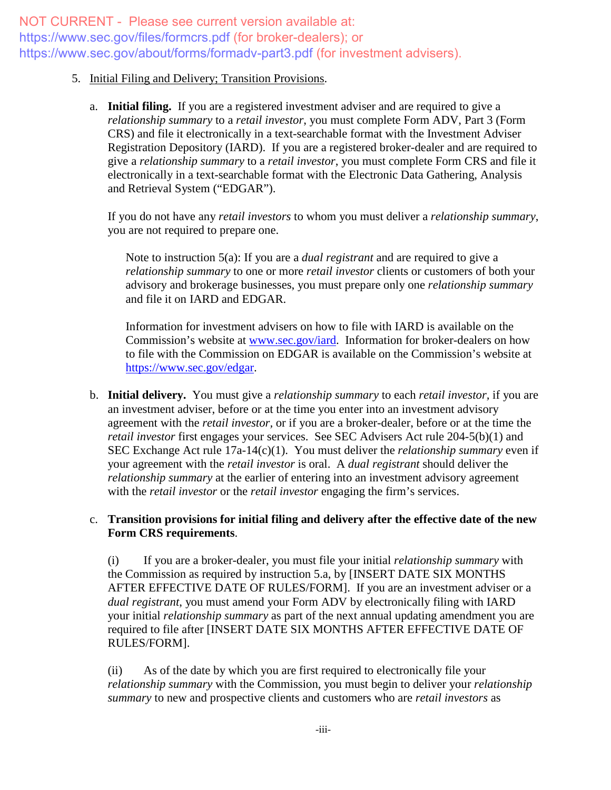#### 5. Initial Filing and Delivery; Transition Provisions.

a. **Initial filing.** If you are a registered investment adviser and are required to give a *relationship summary* to a *retail investor*, you must complete Form ADV, Part 3 (Form CRS) and file it electronically in a text-searchable format with the Investment Adviser Registration Depository (IARD). If you are a registered broker-dealer and are required to give a *relationship summary* to a *retail investor*, you must complete Form CRS and file it electronically in a text-searchable format with the Electronic Data Gathering, Analysis and Retrieval System ("EDGAR").

If you do not have any *retail investors* to whom you must deliver a *relationship summary*, you are not required to prepare one.

Note to instruction 5(a): If you are a *dual registrant* and are required to give a *relationship summary* to one or more *retail investor* clients or customers of both your advisory and brokerage businesses, you must prepare only one *relationship summary* and file it on IARD and EDGAR.

Information for investment advisers on how to file with IARD is available on the Commission's website at [www.sec.gov/iard.](http://www.sec.gov/iard) Information for broker-dealers on how to file with the Commission on EDGAR is available on the Commission's website at [https://www.sec.gov/edgar.](https://www.sec.gov/edgar.shtml)

b. **Initial delivery.** You must give a *relationship summary* to each *retail investor,* if you are an investment adviser, before or at the time you enter into an investment advisory agreement with the *retail investor,* or if you are a broker-dealer, before or at the time the *retail investor* first engages your services. See SEC Advisers Act rule 204-5(b)(1) and SEC Exchange Act rule 17a-14(c)(1). You must deliver the *relationship summary* even if your agreement with the *retail investor* is oral. A *dual registrant* should deliver the *relationship summary* at the earlier of entering into an investment advisory agreement with the *retail investor* or the *retail investor* engaging the firm's services.

## c. **Transition provisions for initial filing and delivery after the effective date of the new Form CRS requirements**.

(i) If you are a broker-dealer, you must file your initial *relationship summary* with the Commission as required by instruction 5.a, by [INSERT DATE SIX MONTHS AFTER EFFECTIVE DATE OF RULES/FORM]. If you are an investment adviser or a *dual registrant*, you must amend your Form ADV by electronically filing with IARD your initial *relationship summary* as part of the next annual updating amendment you are required to file after [INSERT DATE SIX MONTHS AFTER EFFECTIVE DATE OF RULES/FORM].

(ii) As of the date by which you are first required to electronically file your *relationship summary* with the Commission, you must begin to deliver your *relationship summary* to new and prospective clients and customers who are *retail investors* as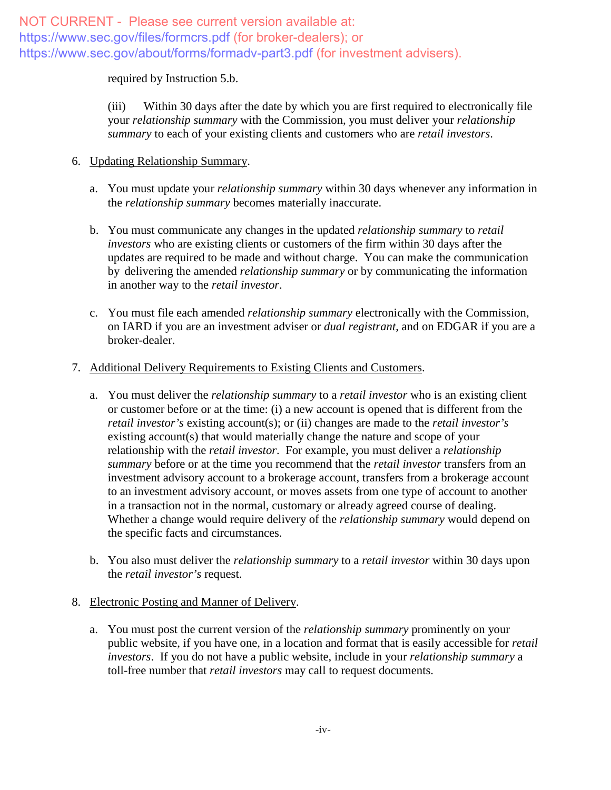required by Instruction 5.b.

(iii) Within 30 days after the date by which you are first required to electronically file your *relationship summary* with the Commission, you must deliver your *relationship summary* to each of your existing clients and customers who are *retail investors*.

## 6. Updating Relationship Summary.

- a. You must update your *relationship summary* within 30 days whenever any information in the *relationship summary* becomes materially inaccurate.
- b. You must communicate any changes in the updated *relationship summary* to *retail investors* who are existing clients or customers of the firm within 30 days after the updates are required to be made and without charge. You can make the communication by delivering the amended *relationship summary* or by communicating the information in another way to the *retail investor*.
- c. You must file each amended *relationship summary* electronically with the Commission, on IARD if you are an investment adviser or *dual registrant*, and on EDGAR if you are a broker-dealer.

## 7. Additional Delivery Requirements to Existing Clients and Customers.

- a. You must deliver the *relationship summary* to a *retail investor* who is an existing client or customer before or at the time: (i) a new account is opened that is different from the *retail investor's* existing account(s); or (ii) changes are made to the *retail investor's* existing account(s) that would materially change the nature and scope of your relationship with the *retail investor*. For example, you must deliver a *relationship summary* before or at the time you recommend that the *retail investor* transfers from an investment advisory account to a brokerage account, transfers from a brokerage account to an investment advisory account, or moves assets from one type of account to another in a transaction not in the normal, customary or already agreed course of dealing. Whether a change would require delivery of the *relationship summary* would depend on the specific facts and circumstances.
- b. You also must deliver the *relationship summary* to a *retail investor* within 30 days upon the *retail investor's* request.

## 8. Electronic Posting and Manner of Delivery.

a. You must post the current version of the *relationship summary* prominently on your public website, if you have one, in a location and format that is easily accessible for *retail investors*. If you do not have a public website, include in your *relationship summary* a toll-free number that *retail investors* may call to request documents.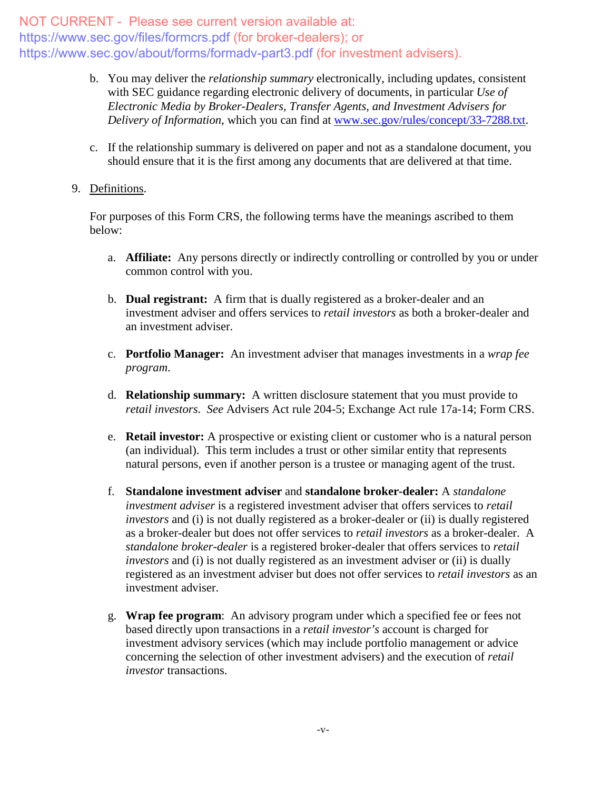- b. You may deliver the *relationship summary* electronically, including updates, consistent with SEC guidance regarding electronic delivery of documents, in particular *Use of Electronic Media by Broker-Dealers, Transfer Agents, and Investment Advisers for Delivery of Information*, which you can find at [www.sec.gov/rules/concept/33-7288.txt.](http://www.sec.gov/rules/concept/33-7288.txt)
- c. If the relationship summary is delivered on paper and not as a standalone document, you should ensure that it is the first among any documents that are delivered at that time.
- 9. Definitions.

For purposes of this Form CRS, the following terms have the meanings ascribed to them below:

- a. **Affiliate:** Any persons directly or indirectly controlling or controlled by you or under common control with you.
- b. **Dual registrant:** A firm that is dually registered as a broker-dealer and an investment adviser and offers services to *retail investors* as both a broker-dealer and an investment adviser.
- c. **Portfolio Manager:** An investment adviser that manages investments in a *wrap fee program*.
- d. **Relationship summary:** A written disclosure statement that you must provide to *retail investors*. *See* Advisers Act rule 204-5; Exchange Act rule 17a-14; Form CRS.
- e. **Retail investor:** A prospective or existing client or customer who is a natural person (an individual). This term includes a trust or other similar entity that represents natural persons, even if another person is a trustee or managing agent of the trust.
- f. **Standalone investment adviser** and **standalone broker-dealer:** A *standalone investment adviser* is a registered investment adviser that offers services to *retail investors* and (i) is not dually registered as a broker-dealer or (ii) is dually registered as a broker-dealer but does not offer services to *retail investors* as a broker-dealer. A *standalone broker-dealer* is a registered broker-dealer that offers services to *retail investors* and (i) is not dually registered as an investment adviser or (ii) is dually registered as an investment adviser but does not offer services to *retail investors* as an investment adviser.
- g. **Wrap fee program**: An advisory program under which a specified fee or fees not based directly upon transactions in a *retail investor's* account is charged for investment advisory services (which may include portfolio management or advice concerning the selection of other investment advisers) and the execution of *retail investor* transactions.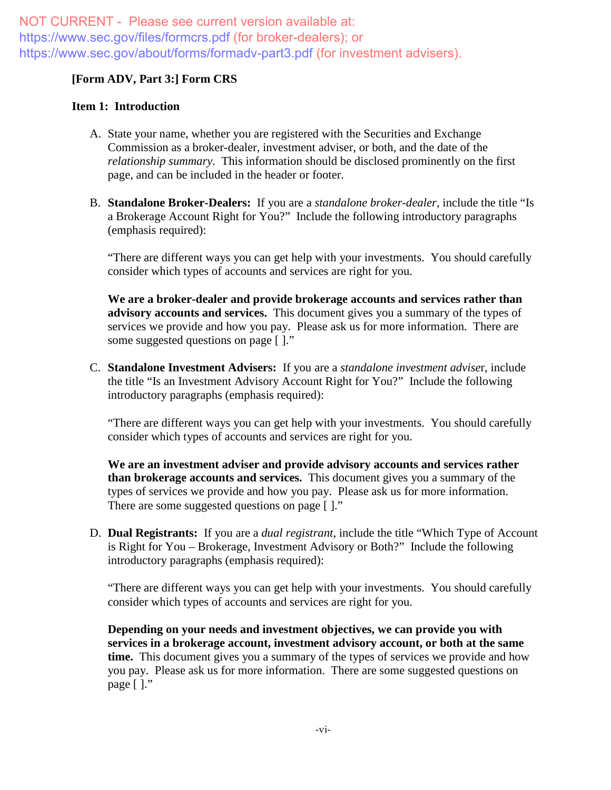## **[Form ADV, Part 3:] Form CRS**

#### **Item 1: Introduction**

- A. State your name, whether you are registered with the Securities and Exchange Commission as a broker-dealer, investment adviser, or both, and the date of the *relationship summary*. This information should be disclosed prominently on the first page, and can be included in the header or footer.
- B. **Standalone Broker-Dealers:** If you are a *standalone broker-dealer*, include the title "Is a Brokerage Account Right for You?" Include the following introductory paragraphs (emphasis required):

"There are different ways you can get help with your investments. You should carefully consider which types of accounts and services are right for you.

**We are a broker-dealer and provide brokerage accounts and services rather than advisory accounts and services.** This document gives you a summary of the types of services we provide and how you pay. Please ask us for more information. There are some suggested questions on page [ ]."

C. **Standalone Investment Advisers:** If you are a *standalone investment advise*r, include the title "Is an Investment Advisory Account Right for You?" Include the following introductory paragraphs (emphasis required):

"There are different ways you can get help with your investments. You should carefully consider which types of accounts and services are right for you.

**We are an investment adviser and provide advisory accounts and services rather than brokerage accounts and services.** This document gives you a summary of the types of services we provide and how you pay. Please ask us for more information. There are some suggested questions on page [ ]."

D. **Dual Registrants:** If you are a *dual registrant*, include the title "Which Type of Account is Right for You – Brokerage, Investment Advisory or Both?" Include the following introductory paragraphs (emphasis required):

"There are different ways you can get help with your investments. You should carefully consider which types of accounts and services are right for you.

**Depending on your needs and investment objectives, we can provide you with services in a brokerage account, investment advisory account, or both at the same time.** This document gives you a summary of the types of services we provide and how you pay. Please ask us for more information. There are some suggested questions on page [ ]."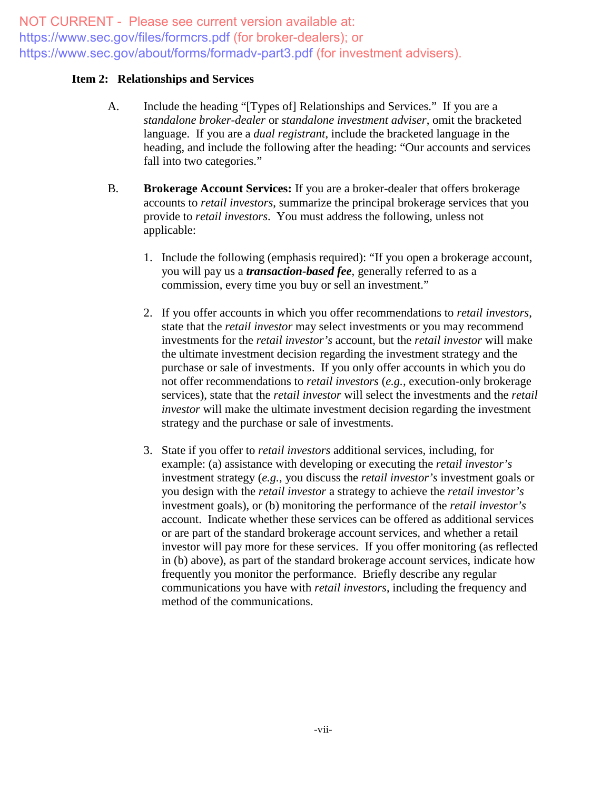#### **Item 2: Relationships and Services**

- A. Include the heading "[Types of] Relationships and Services." If you are a *standalone broker-dealer* or *standalone investment adviser*, omit the bracketed language. If you are a *dual registrant*, include the bracketed language in the heading, and include the following after the heading: "Our accounts and services fall into two categories."
- B. **Brokerage Account Services:** If you are a broker-dealer that offers brokerage accounts to *retail investors*, summarize the principal brokerage services that you provide to *retail investors*. You must address the following, unless not applicable:
	- 1. Include the following (emphasis required): "If you open a brokerage account, you will pay us a *transaction-based fee*, generally referred to as a commission, every time you buy or sell an investment."
	- 2. If you offer accounts in which you offer recommendations to *retail investors*, state that the *retail investor* may select investments or you may recommend investments for the *retail investor's* account, but the *retail investor* will make the ultimate investment decision regarding the investment strategy and the purchase or sale of investments. If you only offer accounts in which you do not offer recommendations to *retail investors* (*e.g.,* execution-only brokerage services), state that the *retail investor* will select the investments and the *retail investor* will make the ultimate investment decision regarding the investment strategy and the purchase or sale of investments.
	- 3. State if you offer to *retail investors* additional services, including, for example: (a) assistance with developing or executing the *retail investor's* investment strategy (*e.g.*, you discuss the *retail investor's* investment goals or you design with the *retail investor* a strategy to achieve the *retail investor's* investment goals), or (b) monitoring the performance of the *retail investor's* account. Indicate whether these services can be offered as additional services or are part of the standard brokerage account services, and whether a retail investor will pay more for these services. If you offer monitoring (as reflected in (b) above), as part of the standard brokerage account services, indicate how frequently you monitor the performance. Briefly describe any regular communications you have with *retail investors*, including the frequency and method of the communications.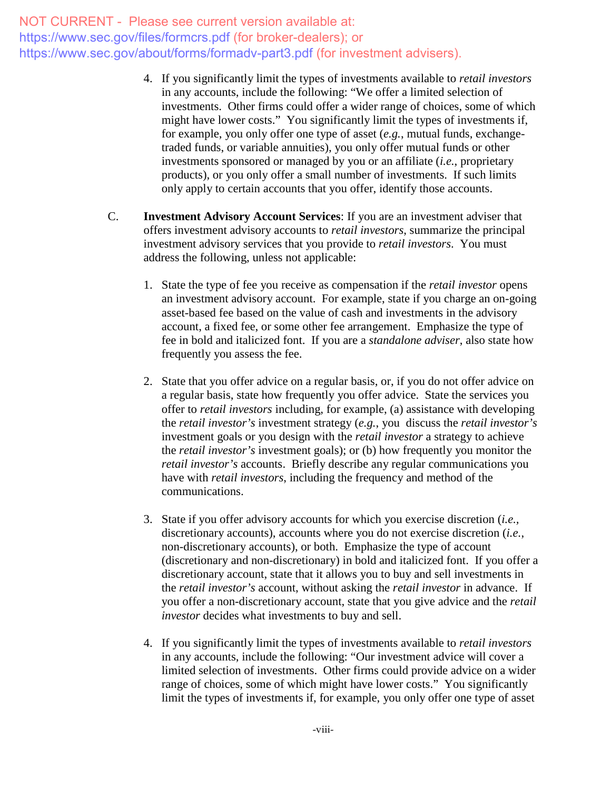- 4. If you significantly limit the types of investments available to *retail investors* in any accounts, include the following: "We offer a limited selection of investments. Other firms could offer a wider range of choices, some of which might have lower costs." You significantly limit the types of investments if, for example, you only offer one type of asset (*e.g.*, mutual funds, exchangetraded funds, or variable annuities), you only offer mutual funds or other investments sponsored or managed by you or an affiliate (*i.e.*, proprietary products), or you only offer a small number of investments. If such limits only apply to certain accounts that you offer, identify those accounts.
- C. **Investment Advisory Account Services**: If you are an investment adviser that offers investment advisory accounts to *retail investors*, summarize the principal investment advisory services that you provide to *retail investors*. You must address the following, unless not applicable:
	- 1. State the type of fee you receive as compensation if the *retail investor* opens an investment advisory account. For example, state if you charge an on-going asset-based fee based on the value of cash and investments in the advisory account, a fixed fee, or some other fee arrangement. Emphasize the type of fee in bold and italicized font. If you are a *standalone adviser*, also state how frequently you assess the fee.
	- 2. State that you offer advice on a regular basis, or, if you do not offer advice on a regular basis, state how frequently you offer advice. State the services you offer to *retail investors* including, for example, (a) assistance with developing the *retail investor's* investment strategy (*e.g.*, you discuss the *retail investor's* investment goals or you design with the *retail investor* a strategy to achieve the *retail investor's* investment goals); or (b) how frequently you monitor the *retail investor's* accounts. Briefly describe any regular communications you have with *retail investors*, including the frequency and method of the communications.
	- 3. State if you offer advisory accounts for which you exercise discretion (*i.e.,* discretionary accounts), accounts where you do not exercise discretion (*i.e.*, non-discretionary accounts), or both. Emphasize the type of account (discretionary and non-discretionary) in bold and italicized font. If you offer a discretionary account, state that it allows you to buy and sell investments in the *retail investor's* account, without asking the *retail investor* in advance. If you offer a non-discretionary account, state that you give advice and the *retail investor* decides what investments to buy and sell.
	- 4. If you significantly limit the types of investments available to *retail investors* in any accounts, include the following: "Our investment advice will cover a limited selection of investments. Other firms could provide advice on a wider range of choices, some of which might have lower costs." You significantly limit the types of investments if, for example, you only offer one type of asset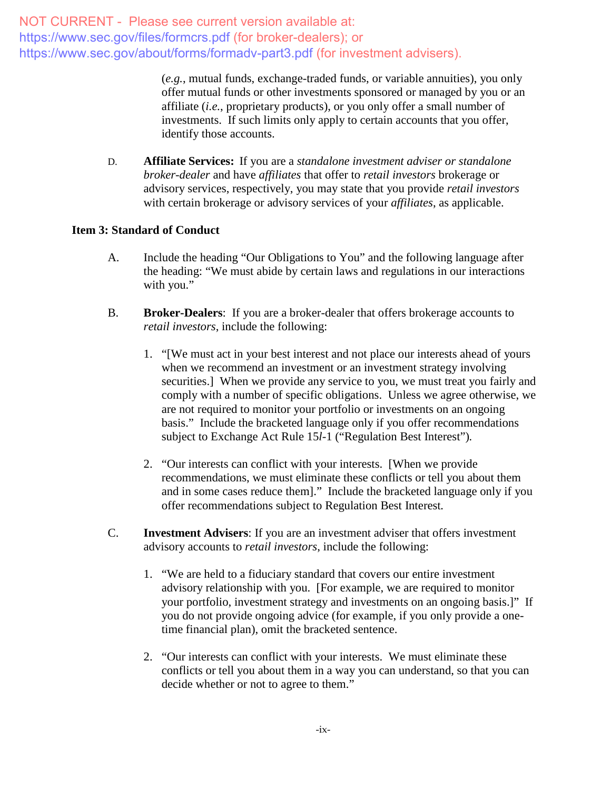> (*e.g.*, mutual funds, exchange-traded funds, or variable annuities), you only offer mutual funds or other investments sponsored or managed by you or an affiliate (*i.e.*, proprietary products), or you only offer a small number of investments. If such limits only apply to certain accounts that you offer, identify those accounts.

D. **Affiliate Services:** If you are a *standalone investment adviser or standalone broker-dealer* and have *affiliates* that offer to *retail investors* brokerage or advisory services, respectively, you may state that you provide *retail investors* with certain brokerage or advisory services of your *affiliates*, as applicable.

## **Item 3: Standard of Conduct**

- A. Include the heading "Our Obligations to You" and the following language after the heading: "We must abide by certain laws and regulations in our interactions with you."
- B. **Broker-Dealers**: If you are a broker-dealer that offers brokerage accounts to *retail investors*, include the following:
	- 1. "[We must act in your best interest and not place our interests ahead of yours when we recommend an investment or an investment strategy involving securities.] When we provide any service to you, we must treat you fairly and comply with a number of specific obligations. Unless we agree otherwise, we are not required to monitor your portfolio or investments on an ongoing basis." Include the bracketed language only if you offer recommendations subject to Exchange Act Rule 15*l*-1 ("Regulation Best Interest")*.*
	- 2. "Our interests can conflict with your interests. [When we provide recommendations, we must eliminate these conflicts or tell you about them and in some cases reduce them]." Include the bracketed language only if you offer recommendations subject to Regulation Best Interest*.*
- C. **Investment Advisers**: If you are an investment adviser that offers investment advisory accounts to *retail investors*, include the following:
	- 1. "We are held to a fiduciary standard that covers our entire investment advisory relationship with you. [For example, we are required to monitor your portfolio, investment strategy and investments on an ongoing basis.]" If you do not provide ongoing advice (for example, if you only provide a onetime financial plan), omit the bracketed sentence.
	- 2. "Our interests can conflict with your interests. We must eliminate these conflicts or tell you about them in a way you can understand, so that you can decide whether or not to agree to them."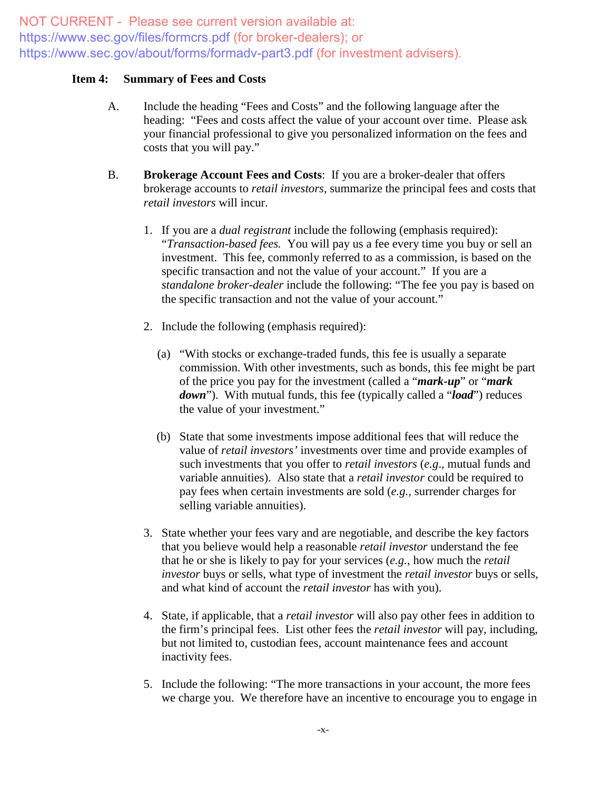#### **Item 4: Summary of Fees and Costs**

- A. Include the heading "Fees and Costs" and the following language after the heading: "Fees and costs affect the value of your account over time. Please ask your financial professional to give you personalized information on the fees and costs that you will pay."
- B. **Brokerage Account Fees and Costs**: If you are a broker-dealer that offers brokerage accounts to *retail investors*, summarize the principal fees and costs that *retail investors* will incur.
	- 1. If you are a *dual registrant* include the following (emphasis required): "*Transaction-based fees.* You will pay us a fee every time you buy or sell an investment. This fee, commonly referred to as a commission, is based on the specific transaction and not the value of your account." If you are a *standalone broker-dealer* include the following: "The fee you pay is based on the specific transaction and not the value of your account."
	- 2. Include the following (emphasis required):
		- (a) "With stocks or exchange-traded funds, this fee is usually a separate commission. With other investments, such as bonds, this fee might be part of the price you pay for the investment (called a "*mark-up*" or "*mark down*"). With mutual funds, this fee (typically called a "*load*") reduces the value of your investment."
		- (b) State that some investments impose additional fees that will reduce the value of *retail investors'* investments over time and provide examples of such investments that you offer to *retail investors* (*e.g*., mutual funds and variable annuities). Also state that a *retail investor* could be required to pay fees when certain investments are sold (*e.g.,* surrender charges for selling variable annuities).
	- 3. State whether your fees vary and are negotiable, and describe the key factors that you believe would help a reasonable *retail investor* understand the fee that he or she is likely to pay for your services (*e.g.*, how much the *retail investor* buys or sells, what type of investment the *retail investor* buys or sells, and what kind of account the *retail investor* has with you).
	- 4. State, if applicable, that a *retail investor* will also pay other fees in addition to the firm's principal fees. List other fees the *retail investor* will pay, including, but not limited to, custodian fees, account maintenance fees and account inactivity fees.
	- 5. Include the following: "The more transactions in your account, the more fees we charge you. We therefore have an incentive to encourage you to engage in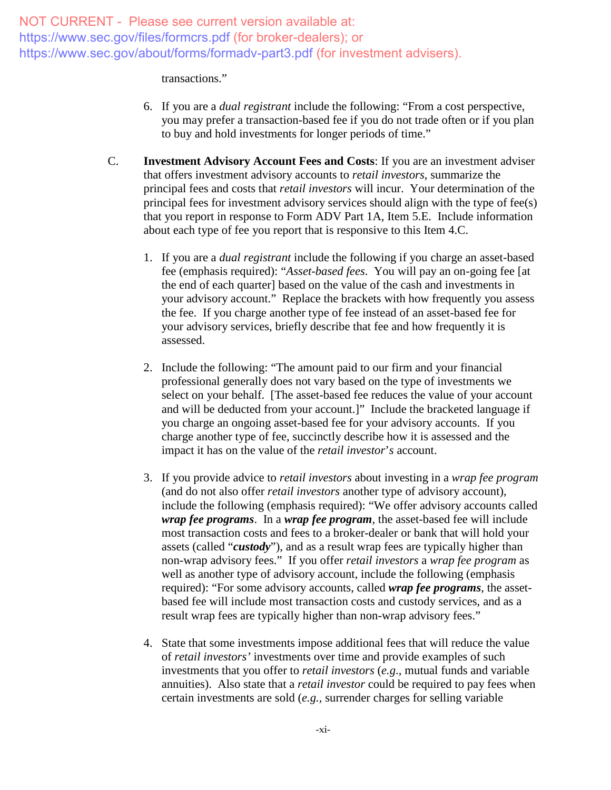#### transactions."

- 6. If you are a *dual registrant* include the following: "From a cost perspective, you may prefer a transaction-based fee if you do not trade often or if you plan to buy and hold investments for longer periods of time."
- C. **Investment Advisory Account Fees and Costs**: If you are an investment adviser that offers investment advisory accounts to *retail investors*, summarize the principal fees and costs that *retail investors* will incur. Your determination of the principal fees for investment advisory services should align with the type of fee(s) that you report in response to Form ADV Part 1A, Item 5.E. Include information about each type of fee you report that is responsive to this Item 4.C.
	- 1. If you are a *dual registrant* include the following if you charge an asset-based fee (emphasis required): "*Asset-based fees*. You will pay an on-going fee [at the end of each quarter] based on the value of the cash and investments in your advisory account." Replace the brackets with how frequently you assess the fee. If you charge another type of fee instead of an asset-based fee for your advisory services, briefly describe that fee and how frequently it is assessed.
	- 2. Include the following: "The amount paid to our firm and your financial professional generally does not vary based on the type of investments we select on your behalf. [The asset-based fee reduces the value of your account and will be deducted from your account.]" Include the bracketed language if you charge an ongoing asset-based fee for your advisory accounts. If you charge another type of fee, succinctly describe how it is assessed and the impact it has on the value of the *retail investor*'*s* account.
	- 3. If you provide advice to *retail investors* about investing in a *wrap fee program* (and do not also offer *retail investors* another type of advisory account), include the following (emphasis required): "We offer advisory accounts called *wrap fee programs*. In a *wrap fee program*, the asset-based fee will include most transaction costs and fees to a broker-dealer or bank that will hold your assets (called "*custody*"), and as a result wrap fees are typically higher than non-wrap advisory fees." If you offer *retail investors* a *wrap fee program* as well as another type of advisory account, include the following (emphasis required): "For some advisory accounts, called *wrap fee programs*, the assetbased fee will include most transaction costs and custody services, and as a result wrap fees are typically higher than non-wrap advisory fees."
	- 4. State that some investments impose additional fees that will reduce the value of *retail investors'* investments over time and provide examples of such investments that you offer to *retail investors* (*e.g*., mutual funds and variable annuities). Also state that a *retail investor* could be required to pay fees when certain investments are sold (*e.g.,* surrender charges for selling variable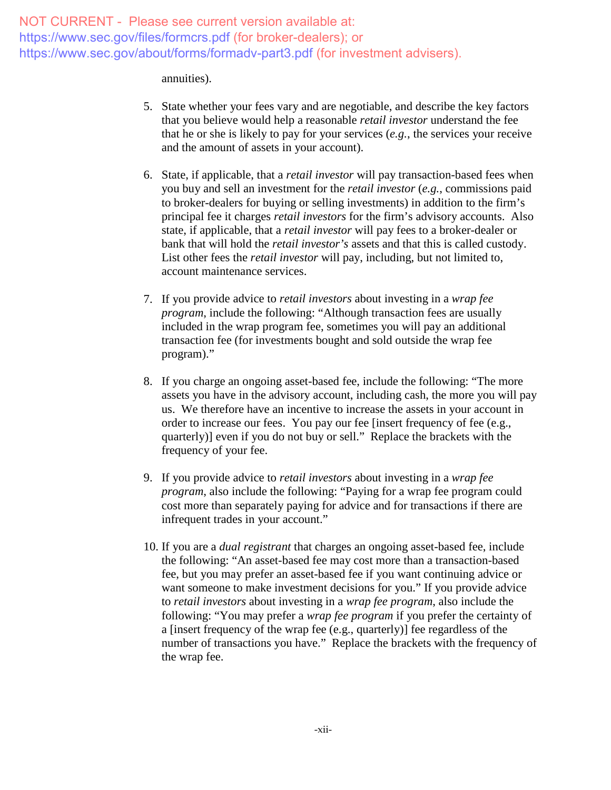#### annuities).

- 5. State whether your fees vary and are negotiable, and describe the key factors that you believe would help a reasonable *retail investor* understand the fee that he or she is likely to pay for your services (*e.g.*, the services your receive and the amount of assets in your account).
- 6. State, if applicable, that a *retail investor* will pay transaction-based fees when you buy and sell an investment for the *retail investor* (*e.g.*, commissions paid to broker-dealers for buying or selling investments) in addition to the firm's principal fee it charges *retail investors* for the firm's advisory accounts. Also state, if applicable, that a *retail investor* will pay fees to a broker-dealer or bank that will hold the *retail investor's* assets and that this is called custody. List other fees the *retail investor* will pay, including, but not limited to, account maintenance services.
- 7. If you provide advice to *retail investors* about investing in a *wrap fee program*, include the following: "Although transaction fees are usually included in the wrap program fee, sometimes you will pay an additional transaction fee (for investments bought and sold outside the wrap fee program)."
- 8. If you charge an ongoing asset-based fee, include the following: "The more assets you have in the advisory account, including cash, the more you will pay us. We therefore have an incentive to increase the assets in your account in order to increase our fees. You pay our fee [insert frequency of fee (e.g., quarterly)] even if you do not buy or sell." Replace the brackets with the frequency of your fee.
- 9. If you provide advice to *retail investors* about investing in a *wrap fee program*, also include the following: "Paying for a wrap fee program could cost more than separately paying for advice and for transactions if there are infrequent trades in your account."
- 10. If you are a *dual registrant* that charges an ongoing asset-based fee, include the following: "An asset-based fee may cost more than a transaction-based fee, but you may prefer an asset-based fee if you want continuing advice or want someone to make investment decisions for you." If you provide advice to *retail investors* about investing in a *wrap fee program*, also include the following: "You may prefer a *wrap fee program* if you prefer the certainty of a [insert frequency of the wrap fee (e.g., quarterly)] fee regardless of the number of transactions you have." Replace the brackets with the frequency of the wrap fee.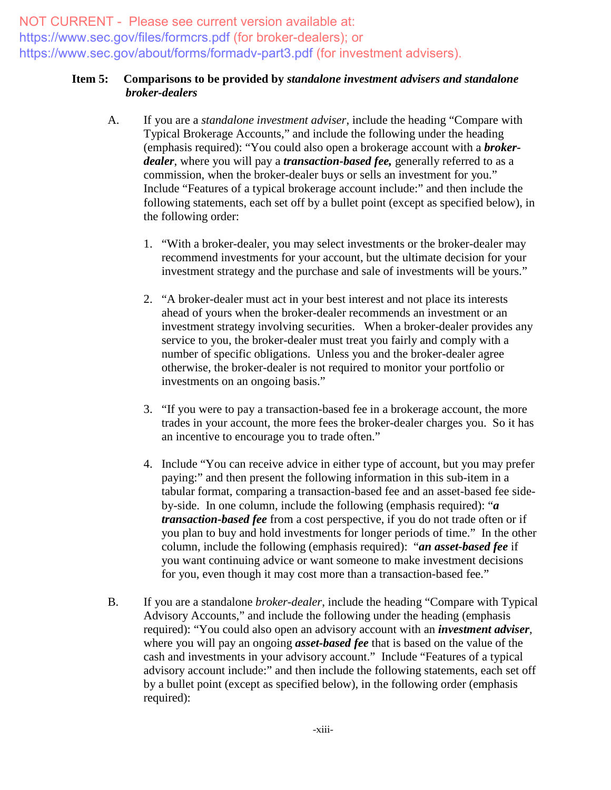### **Item 5: Comparisons to be provided by** *standalone investment advisers and standalone broker-dealers*

- A. If you are a *standalone investment adviser*, include the heading "Compare with Typical Brokerage Accounts," and include the following under the heading (emphasis required): "You could also open a brokerage account with a *brokerdealer*, where you will pay a *transaction-based fee,* generally referred to as a commission, when the broker-dealer buys or sells an investment for you." Include "Features of a typical brokerage account include:" and then include the following statements, each set off by a bullet point (except as specified below), in the following order:
	- 1. "With a broker-dealer, you may select investments or the broker-dealer may recommend investments for your account, but the ultimate decision for your investment strategy and the purchase and sale of investments will be yours."
	- 2. "A broker-dealer must act in your best interest and not place its interests ahead of yours when the broker-dealer recommends an investment or an investment strategy involving securities. When a broker-dealer provides any service to you, the broker-dealer must treat you fairly and comply with a number of specific obligations. Unless you and the broker-dealer agree otherwise, the broker-dealer is not required to monitor your portfolio or investments on an ongoing basis."
	- 3. "If you were to pay a transaction-based fee in a brokerage account, the more trades in your account, the more fees the broker-dealer charges you. So it has an incentive to encourage you to trade often."
	- 4. Include "You can receive advice in either type of account, but you may prefer paying:" and then present the following information in this sub-item in a tabular format, comparing a transaction-based fee and an asset-based fee sideby-side. In one column, include the following (emphasis required): "*a transaction-based fee* from a cost perspective, if you do not trade often or if you plan to buy and hold investments for longer periods of time." In the other column, include the following (emphasis required): "*an asset-based fee* if you want continuing advice or want someone to make investment decisions for you, even though it may cost more than a transaction-based fee."
- B. If you are a standalone *broker-dealer*, include the heading "Compare with Typical Advisory Accounts," and include the following under the heading (emphasis required): "You could also open an advisory account with an *investment adviser*, where you will pay an ongoing *asset-based fee* that is based on the value of the cash and investments in your advisory account." Include "Features of a typical advisory account include:" and then include the following statements, each set off by a bullet point (except as specified below), in the following order (emphasis required):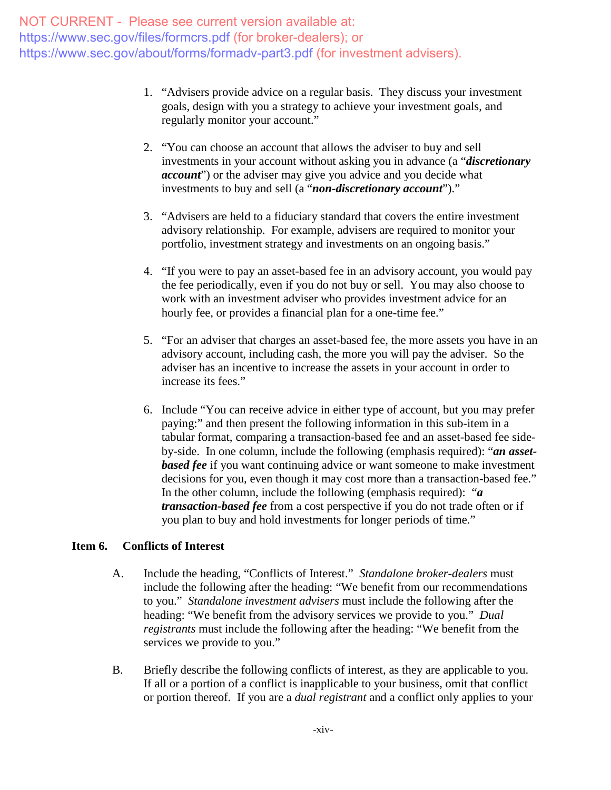- 1. "Advisers provide advice on a regular basis. They discuss your investment goals, design with you a strategy to achieve your investment goals, and regularly monitor your account."
- 2. "You can choose an account that allows the adviser to buy and sell investments in your account without asking you in advance (a "*discretionary account*") or the adviser may give you advice and you decide what investments to buy and sell (a "*non-discretionary account*")."
- 3. "Advisers are held to a fiduciary standard that covers the entire investment advisory relationship. For example, advisers are required to monitor your portfolio, investment strategy and investments on an ongoing basis."
- 4. "If you were to pay an asset-based fee in an advisory account, you would pay the fee periodically, even if you do not buy or sell. You may also choose to work with an investment adviser who provides investment advice for an hourly fee, or provides a financial plan for a one-time fee."
- 5. "For an adviser that charges an asset-based fee, the more assets you have in an advisory account, including cash, the more you will pay the adviser. So the adviser has an incentive to increase the assets in your account in order to increase its fees."
- 6. Include "You can receive advice in either type of account, but you may prefer paying:" and then present the following information in this sub-item in a tabular format, comparing a transaction-based fee and an asset-based fee sideby-side. In one column, include the following (emphasis required): "*an assetbased fee* if you want continuing advice or want someone to make investment decisions for you, even though it may cost more than a transaction-based fee." In the other column, include the following (emphasis required): "*a transaction-based fee* from a cost perspective if you do not trade often or if you plan to buy and hold investments for longer periods of time."

#### **Item 6. Conflicts of Interest**

- A. Include the heading, "Conflicts of Interest." *Standalone broker-dealers* must include the following after the heading: "We benefit from our recommendations to you." *Standalone investment advisers* must include the following after the heading: "We benefit from the advisory services we provide to you." *Dual registrants* must include the following after the heading: "We benefit from the services we provide to you."
- B. Briefly describe the following conflicts of interest, as they are applicable to you. If all or a portion of a conflict is inapplicable to your business, omit that conflict or portion thereof. If you are a *dual registrant* and a conflict only applies to your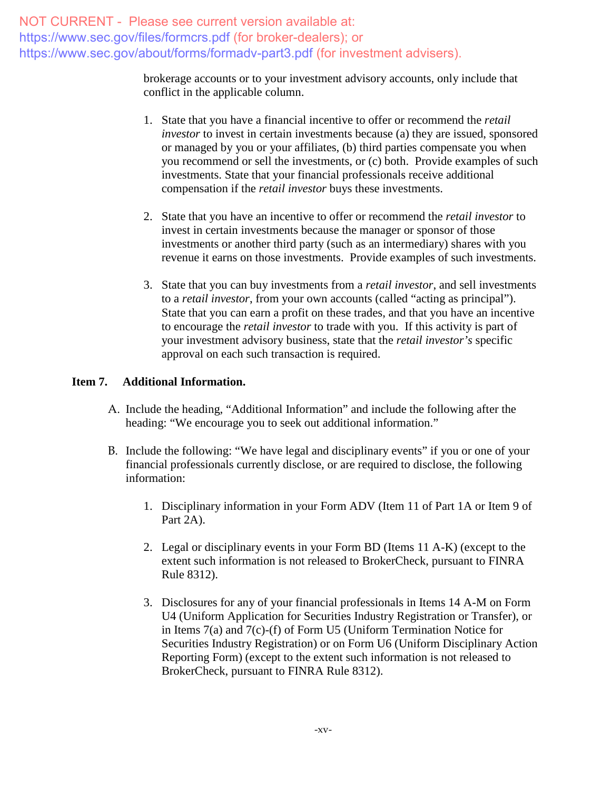> brokerage accounts or to your investment advisory accounts, only include that conflict in the applicable column.

- 1. State that you have a financial incentive to offer or recommend the *retail investor* to invest in certain investments because (a) they are issued, sponsored or managed by you or your affiliates, (b) third parties compensate you when you recommend or sell the investments, or (c) both. Provide examples of such investments. State that your financial professionals receive additional compensation if the *retail investor* buys these investments.
- 2. State that you have an incentive to offer or recommend the *retail investor* to invest in certain investments because the manager or sponsor of those investments or another third party (such as an intermediary) shares with you revenue it earns on those investments. Provide examples of such investments.
- 3. State that you can buy investments from a *retail investor*, and sell investments to a *retail investor*, from your own accounts (called "acting as principal"). State that you can earn a profit on these trades, and that you have an incentive to encourage the *retail investor* to trade with you. If this activity is part of your investment advisory business, state that the *retail investor's* specific approval on each such transaction is required.

### **Item 7. Additional Information.**

- A. Include the heading, "Additional Information" and include the following after the heading: "We encourage you to seek out additional information."
- B. Include the following: "We have legal and disciplinary events" if you or one of your financial professionals currently disclose, or are required to disclose, the following information:
	- 1. Disciplinary information in your Form ADV (Item 11 of Part 1A or Item 9 of Part 2A).
	- 2. Legal or disciplinary events in your Form BD (Items 11 A-K) (except to the extent such information is not released to BrokerCheck, pursuant to FINRA Rule 8312).
	- 3. Disclosures for any of your financial professionals in Items 14 A-M on Form U4 (Uniform Application for Securities Industry Registration or Transfer), or in Items 7(a) and 7(c)-(f) of Form U5 (Uniform Termination Notice for Securities Industry Registration) or on Form U6 (Uniform Disciplinary Action Reporting Form) (except to the extent such information is not released to BrokerCheck, pursuant to FINRA Rule 8312).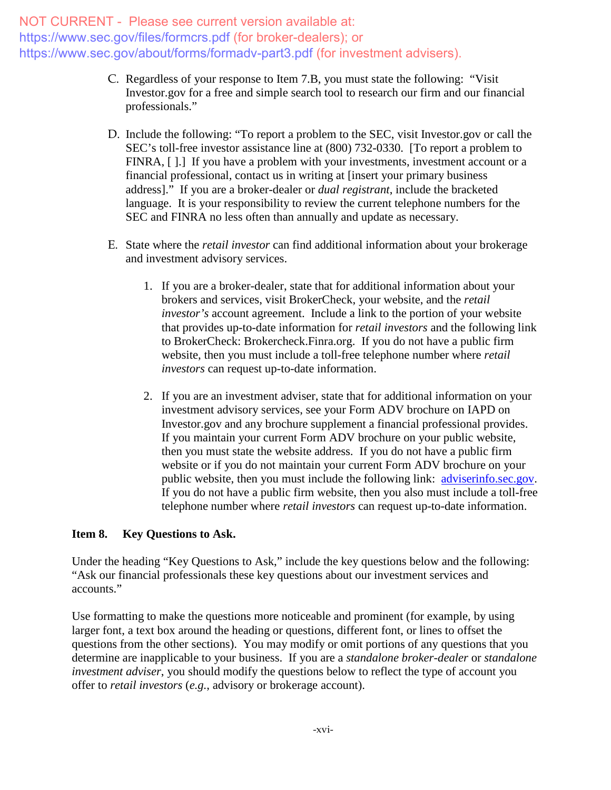- C. Regardless of your response to Item 7.B, you must state the following: "Visit Investor.gov for a free and simple search tool to research our firm and our financial professionals."
- D. Include the following: "To report a problem to the SEC, visit Investor.gov or call the SEC's toll-free investor assistance line at (800) 732-0330. [To report a problem to FINRA, [1.] If you have a problem with your investments, investment account or a financial professional, contact us in writing at [insert your primary business address]." If you are a broker-dealer or *dual registrant*, include the bracketed language. It is your responsibility to review the current telephone numbers for the SEC and FINRA no less often than annually and update as necessary.
- E. State where the *retail investor* can find additional information about your brokerage and investment advisory services.
	- 1. If you are a broker-dealer, state that for additional information about your brokers and services, visit BrokerCheck, your website, and the *retail investor's* account agreement. Include a link to the portion of your website that provides up-to-date information for *retail investors* and the following link to BrokerCheck: Brokercheck.Finra.org. If you do not have a public firm website, then you must include a toll-free telephone number where *retail investors* can request up-to-date information.
	- 2. If you are an investment adviser, state that for additional information on your investment advisory services, see your Form ADV brochure on IAPD on Investor.gov and any brochure supplement a financial professional provides. If you maintain your current Form ADV brochure on your public website, then you must state the website address. If you do not have a public firm website or if you do not maintain your current Form ADV brochure on your public website, then you must include the following link: [adviserinfo.sec.gov.](http://www.adviserinfo.sec.gov/) If you do not have a public firm website, then you also must include a toll-free telephone number where *retail investors* can request up-to-date information.

## **Item 8. Key Questions to Ask.**

Under the heading "Key Questions to Ask," include the key questions below and the following: "Ask our financial professionals these key questions about our investment services and accounts."

Use formatting to make the questions more noticeable and prominent (for example, by using larger font, a text box around the heading or questions, different font, or lines to offset the questions from the other sections). You may modify or omit portions of any questions that you determine are inapplicable to your business. If you are a *standalone broker-dealer* or *standalone investment adviser*, you should modify the questions below to reflect the type of account you offer to *retail investors* (*e.g.*, advisory or brokerage account).